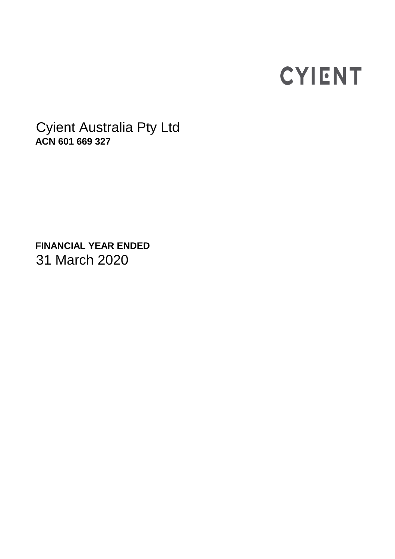# **CYIENT**

Cyient Australia Pty Ltd **ACN 601 669 327**

**FINANCIAL YEAR ENDED**  31 March 2020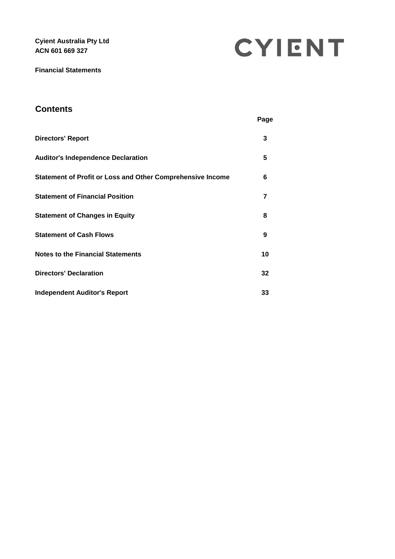**Cyient Australia Pty Ltd ACN 601 669 327**

CYIENT

**Financial Statements** 

# **Contents**

|                                                            | Page |
|------------------------------------------------------------|------|
| <b>Directors' Report</b>                                   | 3    |
| <b>Auditor's Independence Declaration</b>                  | 5    |
| Statement of Profit or Loss and Other Comprehensive Income | 6    |
| <b>Statement of Financial Position</b>                     | 7    |
| <b>Statement of Changes in Equity</b>                      | 8    |
| <b>Statement of Cash Flows</b>                             | 9    |
| <b>Notes to the Financial Statements</b>                   | 10   |
| <b>Directors' Declaration</b>                              | 32   |
| Independent Auditor's Report                               | 33   |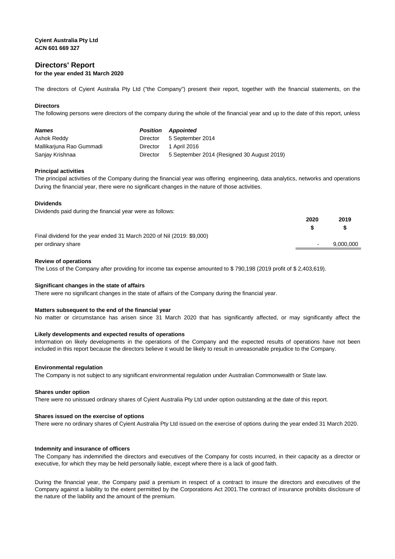## **Directors' Report for the year ended 31 March 2020**

The directors of Cyient Australia Pty Ltd ("the Company") present their report, together with the financial statements, on the

### **Directors**

The following persons were directors of the company during the whole of the financial year and up to the date of this report, unless

| <b>Names</b>             | <b>Position</b> | <b>Appointed</b>                           |
|--------------------------|-----------------|--------------------------------------------|
| Ashok Reddy              | Director        | 5 September 2014                           |
| Mallikarjuna Rao Gummadi | Director        | 1 April 2016                               |
| Sanjay Krishnaa          | Director        | 5 September 2014 (Resigned 30 August 2019) |

#### **Principal activities**

The principal activities of the Company during the financial year was offering engineering, data analytics, networks and operations During the financial year, there were no significant changes in the nature of those activities.

#### **Dividends**

Dividends paid during the financial year were as follows:

|                                                                        | 2020 | 2019      |
|------------------------------------------------------------------------|------|-----------|
|                                                                        |      |           |
| Final dividend for the year ended 31 March 2020 of Nil (2019: \$9,000) |      |           |
| per ordinary share                                                     | ۰.   | 9,000,000 |
|                                                                        |      |           |

#### **Review of operations**

The Loss of the Company after providing for income tax expense amounted to \$ 790,198 (2019 profit of \$ 2,403,619).

#### **Significant changes in the state of affairs**

There were no significant changes in the state of affairs of the Company during the financial year.

#### **Matters subsequent to the end of the financial year**

No matter or circumstance has arisen since 31 March 2020 that has significantly affected, or may significantly affect the

#### **Likely developments and expected results of operations**

Information on likely developments in the operations of the Company and the expected results of operations have not been included in this report because the directors believe it would be likely to result in unreasonable prejudice to the Company.

#### **Environmental regulation**

The Company is not subject to any significant environmental regulation under Australian Commonwealth or State law.

#### **Shares under option**

There were no unissued ordinary shares of Cyient Australia Pty Ltd under option outstanding at the date of this report.

#### **Shares issued on the exercise of options**

There were no ordinary shares of Cyient Australia Pty Ltd issued on the exercise of options during the year ended 31 March 2020.

#### **Indemnity and insurance of officers**

The Company has indemnified the directors and executives of the Company for costs incurred, in their capacity as a director or executive, for which they may be held personally liable, except where there is a lack of good faith.

During the financial year, the Company paid a premium in respect of a contract to insure the directors and executives of the Company against a liability to the extent permitted by the Corporations Act 2001.The contract of insurance prohibits disclosure of the nature of the liability and the amount of the premium.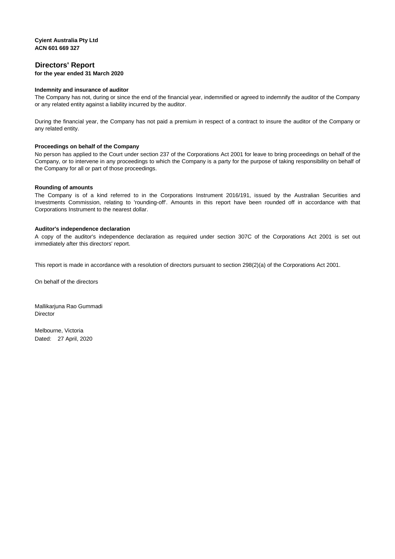## **Directors' Report for the year ended 31 March 2020**

#### **Indemnity and insurance of auditor**

The Company has not, during or since the end of the financial year, indemnified or agreed to indemnify the auditor of the Company or any related entity against a liability incurred by the auditor.

During the financial year, the Company has not paid a premium in respect of a contract to insure the auditor of the Company or any related entity.

#### **Proceedings on behalf of the Company**

No person has applied to the Court under section 237 of the Corporations Act 2001 for leave to bring proceedings on behalf of the Company, or to intervene in any proceedings to which the Company is a party for the purpose of taking responsibility on behalf of the Company for all or part of those proceedings.

#### **Rounding of amounts**

The Company is of a kind referred to in the Corporations Instrument 2016/191, issued by the Australian Securities and Investments Commission, relating to 'rounding-off'. Amounts in this report have been rounded off in accordance with that Corporations Instrument to the nearest dollar.

#### **Auditor's independence declaration**

A copy of the auditor's independence declaration as required under section 307C of the Corporations Act 2001 is set out immediately after this directors' report.

This report is made in accordance with a resolution of directors pursuant to section 298(2)(a) of the Corporations Act 2001.

On behalf of the directors

Mallikarjuna Rao Gummadi Director

Melbourne, Victoria Dated: 27 April, 2020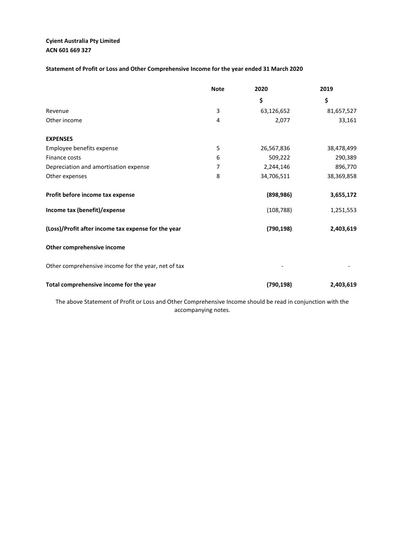## **ACN 601 669 327 Cyient Australia Pty Limited**

**Statement of Profit or Loss and Other Comprehensive Income for the year ended 31 March 2020**

|                                                                                                                 | <b>Note</b> | 2020       | 2019       |
|-----------------------------------------------------------------------------------------------------------------|-------------|------------|------------|
|                                                                                                                 |             | \$         | \$         |
| Revenue                                                                                                         | 3           | 63,126,652 | 81,657,527 |
| Other income                                                                                                    | 4           | 2,077      | 33,161     |
| <b>EXPENSES</b>                                                                                                 |             |            |            |
| Employee benefits expense                                                                                       | 5           | 26,567,836 | 38,478,499 |
| Finance costs                                                                                                   | 6           | 509,222    | 290,389    |
| Depreciation and amortisation expense                                                                           | 7           | 2,244,146  | 896,770    |
| Other expenses                                                                                                  | 8           | 34,706,511 | 38,369,858 |
| Profit before income tax expense                                                                                |             | (898, 986) | 3,655,172  |
| Income tax (benefit)/expense                                                                                    |             | (108, 788) | 1,251,553  |
| (Loss)/Profit after income tax expense for the year                                                             |             | (790, 198) | 2,403,619  |
| Other comprehensive income                                                                                      |             |            |            |
| Other comprehensive income for the year, net of tax                                                             |             |            |            |
| Total comprehensive income for the year                                                                         |             | (790, 198) | 2,403,619  |
| The electric Archeology of Norfh and are and Athen Armoral controlled and cold he are different method with the |             |            |            |

The above Statement of Profit or Loss and Other Comprehensive Income should be read in conjunction with the accompanying notes.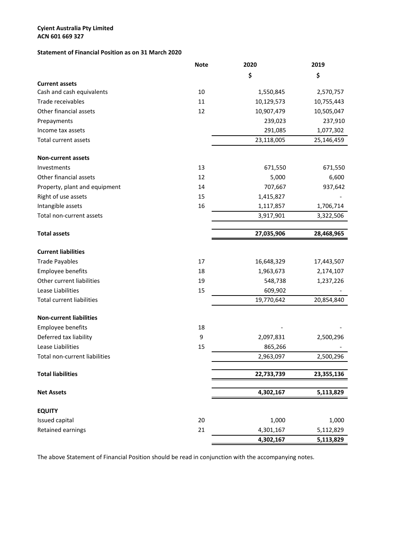#### **ACN 601 669 327 Cyient Australia Pty Limited**

## **Statement of Financial Position as on 31 March 2020**

|                                  | <b>Note</b> | 2020       | 2019       |
|----------------------------------|-------------|------------|------------|
|                                  |             | \$         | \$         |
| <b>Current assets</b>            |             |            |            |
| Cash and cash equivalents        | 10          | 1,550,845  | 2,570,757  |
| Trade receivables                | 11          | 10,129,573 | 10,755,443 |
| Other financial assets           | 12          | 10,907,479 | 10,505,047 |
| Prepayments                      |             | 239,023    | 237,910    |
| Income tax assets                |             | 291,085    | 1,077,302  |
| Total current assets             |             | 23,118,005 | 25,146,459 |
| <b>Non-current assets</b>        |             |            |            |
| Investments                      | 13          | 671,550    | 671,550    |
| Other financial assets           | 12          | 5,000      | 6,600      |
| Property, plant and equipment    | 14          | 707,667    | 937,642    |
| Right of use assets              | 15          | 1,415,827  |            |
| Intangible assets                | 16          | 1,117,857  | 1,706,714  |
| Total non-current assets         |             | 3,917,901  | 3,322,506  |
| <b>Total assets</b>              |             | 27,035,906 | 28,468,965 |
|                                  |             |            |            |
| <b>Current liabilities</b>       |             |            |            |
| <b>Trade Payables</b>            | 17          | 16,648,329 | 17,443,507 |
| Employee benefits                | 18          | 1,963,673  | 2,174,107  |
| Other current liabilities        | 19          | 548,738    | 1,237,226  |
| Lease Liabilities                | 15          | 609,902    |            |
| <b>Total current liabilities</b> |             | 19,770,642 | 20,854,840 |
| <b>Non-current liabilities</b>   |             |            |            |
| Employee benefits                | 18          |            |            |
| Deferred tax liability           | 9           | 2,097,831  | 2,500,296  |
| Lease Liabilities                | 15          | 865,266    |            |
| Total non-current liabilities    |             | 2,963,097  | 2,500,296  |
| <b>Total liabilities</b>         |             | 22,733,739 | 23,355,136 |
|                                  |             |            |            |
| <b>Net Assets</b>                |             | 4,302,167  | 5,113,829  |
| <b>EQUITY</b>                    |             |            |            |
| Issued capital                   | 20          | 1,000      | 1,000      |
| Retained earnings                | 21          | 4,301,167  | 5,112,829  |
|                                  |             | 4,302,167  | 5,113,829  |

The above Statement of Financial Position should be read in conjunction with the accompanying notes.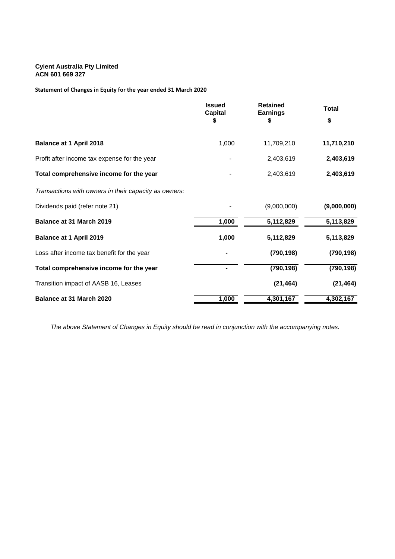### **Cyient Australia Pty Limited ACN 601 669 327**

**Statement of Changes in Equity for the year ended 31 March 2020**

|                                                       | <b>Issued</b><br>Capital | <b>Retained</b><br><b>Earnings</b> | <b>Total</b> |  |
|-------------------------------------------------------|--------------------------|------------------------------------|--------------|--|
|                                                       | S                        | S                                  | \$           |  |
| <b>Balance at 1 April 2018</b>                        | 1,000                    | 11,709,210                         | 11,710,210   |  |
| Profit after income tax expense for the year          |                          | 2,403,619                          | 2,403,619    |  |
| Total comprehensive income for the year               |                          | 2,403,619                          | 2,403,619    |  |
| Transactions with owners in their capacity as owners: |                          |                                    |              |  |
| Dividends paid (refer note 21)                        |                          | (9,000,000)                        | (9,000,000)  |  |
| Balance at 31 March 2019                              | 1,000                    | 5,112,829                          | 5,113,829    |  |
| <b>Balance at 1 April 2019</b>                        | 1,000                    | 5,112,829                          | 5,113,829    |  |
| Loss after income tax benefit for the year            |                          | (790, 198)                         | (790, 198)   |  |
| Total comprehensive income for the year               |                          | (790, 198)                         | (790, 198)   |  |
| Transition impact of AASB 16, Leases                  |                          | (21, 464)                          | (21, 464)    |  |
| Balance at 31 March 2020                              | 1,000                    | 4,301,167                          | 4,302,167    |  |

*The above Statement of Changes in Equity should be read in conjunction with the accompanying notes.*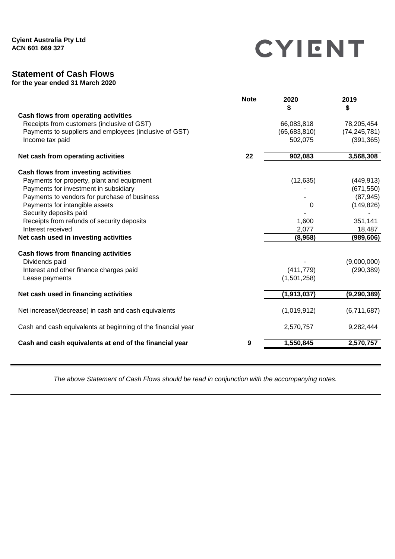CYIENT

# **Statement of Cash Flows**

**for the year ended 31 March 2020**

| <b>Note</b> | 2020<br>\$   | 2019<br>\$     |
|-------------|--------------|----------------|
|             |              |                |
|             | 66,083,818   | 78,205,454     |
|             | (65,683,810) | (74, 245, 781) |
|             | 502,075      | (391, 365)     |
| 22          | 902,083      | 3,568,308      |
|             |              |                |
|             | (12, 635)    | (449, 913)     |
|             |              | (671, 550)     |
|             |              | (87, 945)      |
|             | 0            | (149, 826)     |
|             |              |                |
|             | 1,600        | 351,141        |
|             | 2,077        | 18,487         |
|             | (8,958)      | (989, 606)     |
|             |              |                |
|             |              | (9,000,000)    |
|             | (411, 779)   | (290, 389)     |
|             | (1,501,258)  |                |
|             | (1,913,037)  | (9, 290, 389)  |
|             | (1,019,912)  | (6,711,687)    |
|             | 2,570,757    | 9,282,444      |
| 9           | 1,550,845    | 2,570,757      |
|             |              |                |

*The above Statement of Cash Flows should be read in conjunction with the accompanying notes.*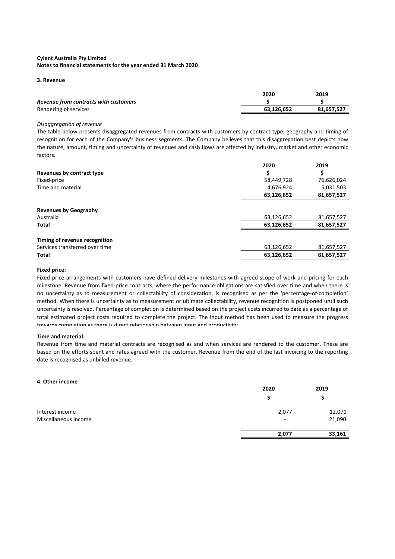#### **3. Revenue**

|                                       | 2020       | 2019       |
|---------------------------------------|------------|------------|
| Revenue from contracts with customers |            |            |
| Rendering of services                 | 63.126.652 | 81.657.527 |
|                                       |            |            |

#### *Disaggregation of revenue*

The table below presents disaggregated revenues from contracts with customers by contract type, geography and timing of recognition for each of the Company's business segments. The Company believes that this disaggregation best depicts how the nature, amount, timing and uncertainty of revenues and cash flows are affected by industry, market and other economic factors.

|                                | 2020       | 2019       |
|--------------------------------|------------|------------|
| Revenues by contract type      |            |            |
| Fixed-price                    | 58,449,728 | 76,626,024 |
| Time and material              | 4,676,924  | 5,031,503  |
|                                | 63,126,652 | 81,657,527 |
|                                |            |            |
| <b>Revenues by Geography</b>   |            |            |
| Australia                      | 63,126,652 | 81,657,527 |
| <b>Total</b>                   | 63,126,652 | 81,657,527 |
|                                |            |            |
| Timing of revenue recognition  |            |            |
| Services transferred over time | 63,126,652 | 81,657,527 |
| <b>Total</b>                   | 63,126,652 | 81,657,527 |

#### **Fixed price:**

Fixed price arrangements with customers have defined delivery milestones with agreed scope of work and pricing for each milestone. Revenue from fixed-price contracts, where the performance obligations are satisfied over time and when there is no uncertainty as to measurement or collectability of consideration, is recognised as per the 'percentage-of-completion' method. When there is uncertainty as to measurement or ultimate collectability, revenue recognition is postponed until such uncertainty is resolved. Percentage of completion is determined based on the project costs incurred to date as a percentage of total estimated project costs required to complete the project. The input method has been used to measure the progress towards completion as there is direct relationship between input and productivity.

#### **Time and material:**

Revenue from time and material contracts are recognised as and when services are rendered to the customer. These are based on the efforts spent and rates agreed with the customer. Revenue from the end of the last invoicing to the reporting date is recognised as unbilled revenue.

#### **4. Other income**

|                      | 2020                     | 2019   |
|----------------------|--------------------------|--------|
|                      |                          |        |
| Interest income      | 2,077                    | 12,071 |
| Miscellaneous income | $\overline{\phantom{a}}$ | 21,090 |
|                      | 2,077                    | 33,161 |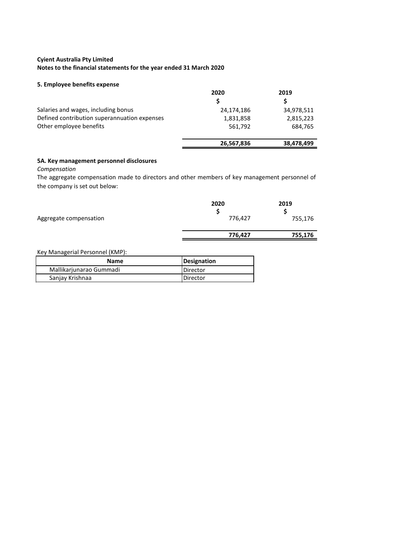#### **5. Employee benefits expense**

|                                              | 2020       | 2019       |
|----------------------------------------------|------------|------------|
|                                              | S          |            |
| Salaries and wages, including bonus          | 24,174,186 | 34,978,511 |
| Defined contribution superannuation expenses | 1,831,858  | 2,815,223  |
| Other employee benefits                      | 561,792    | 684,765    |
|                                              | 26,567,836 | 38,478,499 |

#### **5A. Key management personnel disclosures**

*Compensation*

The aggregate compensation made to directors and other members of key management personnel of the company is set out below:

| Aggregate compensation | 2020<br>S<br>776,427 | 2019<br>755,176 |
|------------------------|----------------------|-----------------|
|                        | 776,427              | 755,176         |

Key Managerial Personnel (KMP):

| <b>Name</b>             | Designation |
|-------------------------|-------------|
| Mallikarjunarao Gummadi | Director    |
| Sanjay Krishnaa         | Director    |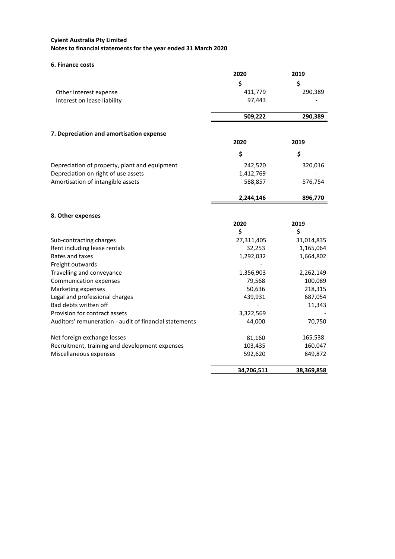**6. Finance costs**

|                                                        | 2020       | 2019       |
|--------------------------------------------------------|------------|------------|
|                                                        | \$         | \$         |
| Other interest expense                                 | 411,779    | 290,389    |
| Interest on lease liability                            | 97,443     |            |
|                                                        | 509,222    | 290,389    |
| 7. Depreciation and amortisation expense               |            |            |
|                                                        | 2020       | 2019       |
|                                                        | \$         | \$         |
| Depreciation of property, plant and equipment          | 242,520    | 320,016    |
| Depreciation on right of use assets                    | 1,412,769  |            |
| Amortisation of intangible assets                      | 588,857    | 576,754    |
|                                                        | 2,244,146  | 896,770    |
| 8. Other expenses                                      |            |            |
|                                                        | 2020       | 2019       |
|                                                        | \$         | \$         |
| Sub-contracting charges                                | 27,311,405 | 31,014,835 |
| Rent including lease rentals                           | 32,253     | 1,165,064  |
| Rates and taxes                                        | 1,292,032  | 1,664,802  |
| Freight outwards                                       |            |            |
| Travelling and conveyance                              | 1,356,903  | 2,262,149  |
| <b>Communication expenses</b>                          | 79,568     | 100,089    |
| Marketing expenses                                     | 50,636     | 218,315    |
| Legal and professional charges                         | 439,931    | 687,054    |
| Bad debts written off                                  |            | 11,343     |
| Provision for contract assets                          | 3,322,569  |            |
| Auditors' remuneration - audit of financial statements | 44,000     | 70,750     |
| Net foreign exchange losses                            | 81,160     | 165,538    |
| Recruitment, training and development expenses         | 103,435    | 160,047    |
| Miscellaneous expenses                                 | 592,620    | 849,872    |
|                                                        | 34,706,511 | 38,369,858 |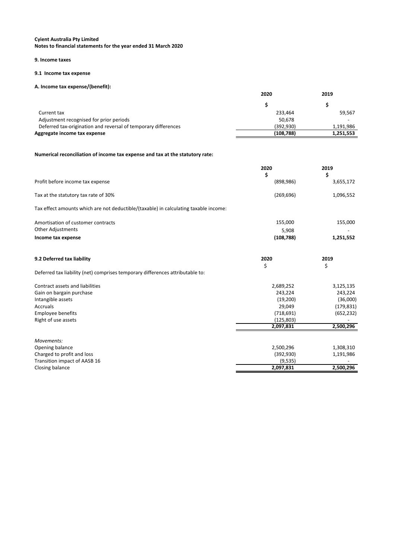## **Cyient Australia Pty Limited**

**Notes to financial statements for the year ended 31 March 2020**

#### **9. Income taxes**

## **9.1 Income tax expense**

## **A. Income tax expense/(benefit):**

|                                                                | 2020      | 2019      |
|----------------------------------------------------------------|-----------|-----------|
|                                                                |           |           |
| Current tax                                                    | 233.464   | 59,567    |
| Adjustment recognised for prior periods                        | 50,678    |           |
| Deferred tax-origination and reversal of temporary differences | (392.930) | 1,191,986 |
| Aggregate income tax expense                                   | (108,788) | 1,251,553 |

## **Numerical reconciliation of income tax expense and tax at the statutory rate:**

|                                                                                      | 2020             | 2019            |
|--------------------------------------------------------------------------------------|------------------|-----------------|
| Profit before income tax expense                                                     | \$<br>(898, 986) | \$<br>3,655,172 |
| Tax at the statutory tax rate of 30%                                                 | (269, 696)       | 1,096,552       |
| Tax effect amounts which are not deductible/(taxable) in calculating taxable income: |                  |                 |
| Amortisation of customer contracts                                                   | 155,000          | 155,000         |
| <b>Other Adjustments</b>                                                             | 5,908            |                 |
| Income tax expense                                                                   | (108, 788)       | 1,251,552       |
| 9.2 Deferred tax liability                                                           | 2020<br>\$       | 2019<br>\$      |
| Deferred tax liability (net) comprises temporary differences attributable to:        |                  |                 |
| Contract assets and liabilities                                                      | 2,689,252        | 3,125,135       |
| Gain on bargain purchase                                                             | 243,224          | 243,224         |
| Intangible assets                                                                    | (19,200)         | (36,000)        |
| Accruals                                                                             | 29,049           | (179, 831)      |
| Employee benefits                                                                    | (718, 691)       | (652, 232)      |
| Right of use assets                                                                  | (125, 803)       |                 |
|                                                                                      | 2,097,831        | 2,500,296       |
| Movements:                                                                           |                  |                 |
| Opening balance                                                                      | 2,500,296        | 1,308,310       |
| Charged to profit and loss                                                           | (392, 930)       | 1,191,986       |
| Transition impact of AASB 16                                                         | (9, 535)         |                 |
| Closing balance                                                                      | 2,097,831        | 2,500,296       |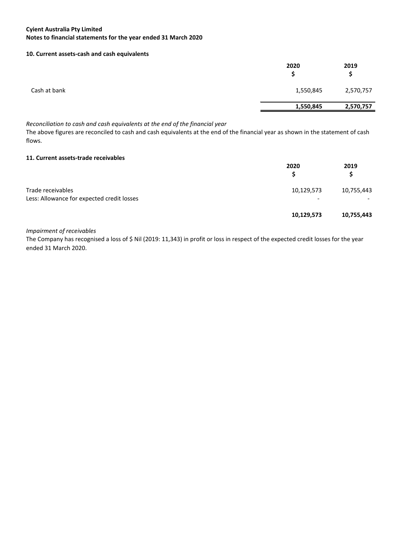#### **10. Current assets-cash and cash equivalents**

|              | 2020      | 2019<br>S |
|--------------|-----------|-----------|
| Cash at bank | 1,550,845 | 2,570,757 |
|              | 1,550,845 | 2,570,757 |
|              |           |           |

#### *Reconciliation to cash and cash equivalents at the end of the financial year*

The above figures are reconciled to cash and cash equivalents at the end of the financial year as shown in the statement of cash flows.

#### **11. Current assets-trade receivables**

|                                                                 | 2020            | 2019<br>S  |
|-----------------------------------------------------------------|-----------------|------------|
| Trade receivables<br>Less: Allowance for expected credit losses | 10,129,573<br>- | 10,755,443 |
|                                                                 | 10,129,573      | 10,755,443 |

#### *Impairment of receivables*

The Company has recognised a loss of \$ Nil (2019: 11,343) in profit or loss in respect of the expected credit losses for the year ended 31 March 2020.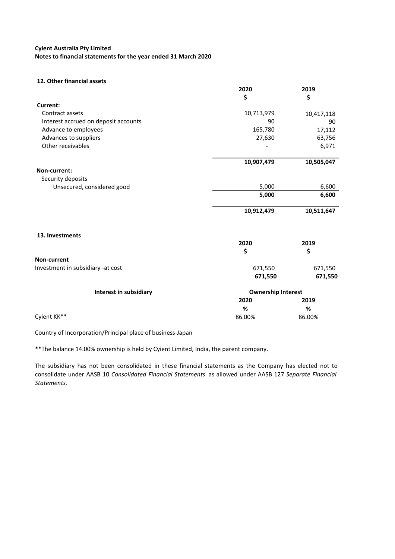#### **Cyient Australia Pty Limited**

**Notes to financial statements for the year ended 31 March 2020**

#### **12. Other financial assets**

|                                      | 2020                      | 2019       |
|--------------------------------------|---------------------------|------------|
|                                      | \$                        | \$         |
| Current:                             |                           |            |
| Contract assets                      | 10,713,979                | 10,417,118 |
| Interest accrued on deposit accounts | 90                        | 90         |
| Advance to employees                 | 165,780                   | 17,112     |
| Advances to suppliers                | 27,630                    | 63,756     |
| Other receivables                    |                           | 6,971      |
|                                      | 10,907,479                | 10,505,047 |
| Non-current:                         |                           |            |
| Security deposits                    |                           |            |
| Unsecured, considered good           | 5,000                     | 6,600      |
|                                      | 5,000                     | 6,600      |
|                                      | 10,912,479                | 10,511,647 |
| 13. Investments                      |                           |            |
|                                      | 2020                      | 2019       |
|                                      | \$                        | \$         |
| Non-current                          |                           |            |
| Investment in subsidiary -at cost    | 671,550                   | 671,550    |
|                                      | 671,550                   | 671,550    |
| Interest in subsidiary               | <b>Ownership Interest</b> |            |
|                                      | 2020                      | 2019       |
|                                      | %                         | %          |
| Cyient KK**                          | 86.00%                    | 86.00%     |

Country of Incorporation/Principal place of business-Japan

\*\*The balance 14.00% ownership is held by Cyient Limited, India, the parent company.

The subsidiary has not been consolidated in these financial statements as the Company has elected not to consolidate under AASB 10 *Consolidated Financial Statements* as allowed under AASB 127 *Separate Financial Statements.*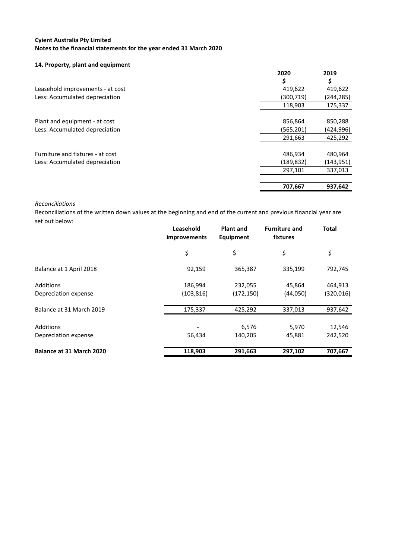#### **14. Property, plant and equipment**

|                                  | 2020       | 2019       |
|----------------------------------|------------|------------|
|                                  | \$         |            |
| Leasehold improvements - at cost | 419,622    | 419,622    |
| Less: Accumulated depreciation   | (300, 719) | (244, 285) |
|                                  | 118,903    | 175,337    |
| Plant and equipment - at cost    | 856,864    | 850,288    |
| Less: Accumulated depreciation   | (565, 201) | (424, 996) |
|                                  | 291,663    | 425,292    |
| Furniture and fixtures - at cost | 486,934    | 480,964    |
| Less: Accumulated depreciation   | (189, 832) | (143, 951) |
|                                  | 297,101    | 337,013    |
|                                  | 707,667    | 937,642    |

#### *Reconciliations*

Reconciliations of the written down values at the beginning and end of the current and previous financial year are set out below:

|                                   | Leasehold<br>improvements | <b>Plant and</b><br>Equipment | <b>Furniture and</b><br>fixtures | <b>Total</b>         |
|-----------------------------------|---------------------------|-------------------------------|----------------------------------|----------------------|
|                                   | \$                        | \$                            | \$                               | \$                   |
| Balance at 1 April 2018           | 92,159                    | 365,387                       | 335,199                          | 792,745              |
| Additions<br>Depreciation expense | 186,994<br>(103, 816)     | 232,055<br>(172, 150)         | 45,864<br>(44,050)               | 464,913<br>(320,016) |
| Balance at 31 March 2019          | 175,337                   | 425,292                       | 337,013                          | 937,642              |
| Additions<br>Depreciation expense | 56,434                    | 6,576<br>140,205              | 5,970<br>45,881                  | 12,546<br>242,520    |
| Balance at 31 March 2020          | 118,903                   | 291,663                       | 297,102                          | 707,667              |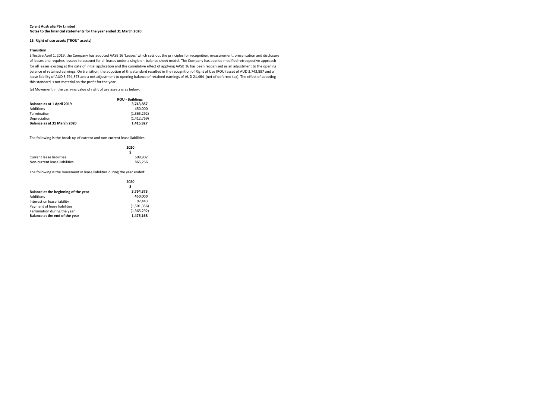## **15. Right of use assets ("ROU" assets)**

## **Transition**

(a) Movement in the carrying value of right of use assets is as below:

|                             | <b>ROU - Buildings</b> |
|-----------------------------|------------------------|
| Balance as at 1 April 2019  | 3.743.887              |
| Additions                   | 450.000                |
| Termination                 | (1,365,292)            |
| Depreciation                | (1,412,769)            |
| Balance as at 31 March 2020 | 1,415,827              |

The following is the break-up of current and non-current lease liabilities:

|                               | 2020    |
|-------------------------------|---------|
| Current lease liabilities     | 609.902 |
| Non-current lease liabilities | 865,266 |

The following is the movement in lease liabilities during the year ended:

|                                      | 2020        |  |
|--------------------------------------|-------------|--|
|                                      | S           |  |
| Balance at the beginning of the year | 3,794,373   |  |
| Additions                            | 450,000     |  |
| Interest on lease liability          | 97.443      |  |
| Payment of lease liabilities         | (1,501,356) |  |
| Termination during the year          | (1,365,292) |  |
| Balance at the end of the year       | 1,475,168   |  |

#### **Cyient Australia Pty Limited Notes to the financial statements for the year ended 31 March 2020**

Effective April 1, 2019, the Company has adopted AASB 16 'Leases' which sets out the principles for recognition, measurement, presentation and disclosure of leases and requires lessees to account for all leases under a single on-balance sheet model. The Company has applied modified retrospective approach for all leases existing at the date of initial application and the cumulative effect of applying AASB 16 has been recognised as an adjustment to the opening balance of retained earnings. On transition, the adoption of this standard resulted in the recognition of Right of Use (ROU) asset of AUD 3,743,887 and a lease liability of AUD 3,794,373 and a net adjustment to opening balance of retained earnings of AUD 21,464 (net of deferred tax). The effect of adopting this standard is not material on the profit for the year.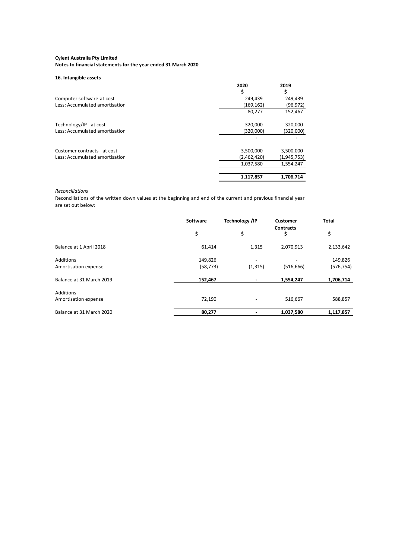## **Cyient Australia Pty Limited**

**Notes to financial statements for the year ended 31 March 2020**

## **16. Intangible assets**

|                                | 2020<br>S   | 2019          |
|--------------------------------|-------------|---------------|
| Computer software-at cost      | 249,439     | 249,439       |
| Less: Accumulated amortisation | (169, 162)  | (96, 972)     |
|                                | 80,277      | 152,467       |
| Technology/IP - at cost        | 320,000     | 320,000       |
| Less: Accumulated amortisation | (320,000)   | (320,000)     |
|                                |             |               |
| Customer contracts - at cost   | 3,500,000   | 3,500,000     |
| Less: Accumulated amortisation | (2,462,420) | (1, 945, 753) |
|                                | 1,037,580   | 1,554,247     |
|                                |             |               |
|                                | 1,117,857   | 1,706,714     |

## *Reconciliations*

Reconciliations of the written down values at the beginning and end of the current and previous financial year are set out below:

|                          | Software                 | <b>Technology /IP</b>    | <b>Customer</b>        | <b>Total</b> |
|--------------------------|--------------------------|--------------------------|------------------------|--------------|
|                          | \$                       | \$                       | <b>Contracts</b><br>\$ | \$           |
| Balance at 1 April 2018  | 61,414                   | 1,315                    | 2,070,913              | 2,133,642    |
| Additions                | 149,826                  | $\overline{\phantom{a}}$ |                        | 149,826      |
| Amortisation expense     | (58, 773)                | (1, 315)                 | (516, 666)             | (576, 754)   |
| Balance at 31 March 2019 | 152,467                  |                          | 1,554,247              | 1,706,714    |
| Additions                | $\overline{\phantom{0}}$ |                          |                        |              |
| Amortisation expense     | 72,190                   | $\overline{\phantom{a}}$ | 516,667                | 588,857      |
| Balance at 31 March 2020 | 80,277                   |                          | 1,037,580              | 1,117,857    |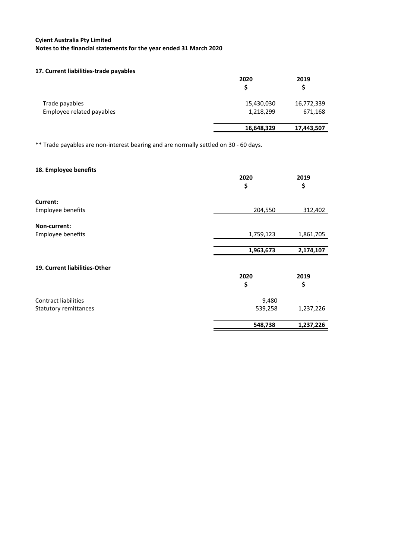#### **17. Current liabilities-trade payables**

|                                             | 2020                    | 2019                  |
|---------------------------------------------|-------------------------|-----------------------|
| Trade payables<br>Employee related payables | 15,430,030<br>1,218,299 | 16,772,339<br>671,168 |
|                                             | 16,648,329              | 17,443,507            |

\*\* Trade payables are non-interest bearing and are normally settled on 30 - 60 days.

## **18. Employee benefits**

|                               | 2020<br>\$ | 2019<br>\$ |
|-------------------------------|------------|------------|
| Current:                      |            |            |
| Employee benefits             | 204,550    | 312,402    |
| Non-current:                  |            |            |
| Employee benefits             | 1,759,123  | 1,861,705  |
|                               | 1,963,673  | 2,174,107  |
| 19. Current liabilities-Other |            |            |
|                               | 2020       | 2019       |
|                               | \$         | \$         |
| <b>Contract liabilities</b>   | 9,480      |            |
| Statutory remittances         | 539,258    | 1,237,226  |
|                               | 548,738    | 1,237,226  |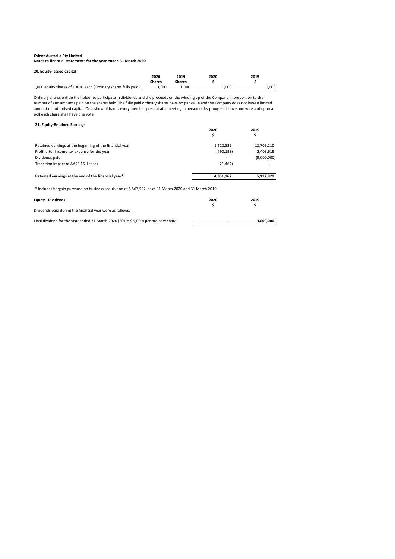## **Cyient Australia Pty Limited**

**Notes to financial statements for the year ended 31 March 2020**

| 20. Equity-Issued capital                                      |               |        |      |       |
|----------------------------------------------------------------|---------------|--------|------|-------|
|                                                                | 2020          | 2019   | 2020 | 2019  |
|                                                                | <b>Shares</b> | Shares |      |       |
| 1,000 equity shares of 1 AUD each (Ordinary shares fully paid) | 000.ء         | 1.000  | …000 | 1,000 |

## **21. Equity-Retained Earnings**

|            | 2019        |
|------------|-------------|
| 5,112,829  | 11,709,210  |
| (790, 198) | 2,403,619   |
|            | (9,000,000) |
| (21, 464)  | -           |
| 4,301,167  | 5,112,829   |
|            | 2020        |

\* Includes bargain purchase on business acquisition of \$ 567,522 as at 31 March 2020 and 31 March 2019.

| <b>Equity - Dividends</b>                                                          | 2020 | 2019      |
|------------------------------------------------------------------------------------|------|-----------|
| Dividends paid during the financial year were as follows:                          |      |           |
| Final dividend for the year ended 31 March 2020 (2019: \$9,000) per ordinary share |      | 9,000,000 |

Ordinary shares entitle the holder to participate in dividends and the proceeds on the winding up of the Company in proportion to the number of and amounts paid on the shares held. The fully paid ordinary shares have no par value and the Company does not have a limited amount of authorised capital. On a show of hands every member present at a meeting in person or by proxy shall have one vote and upon a poll each share shall have one vote.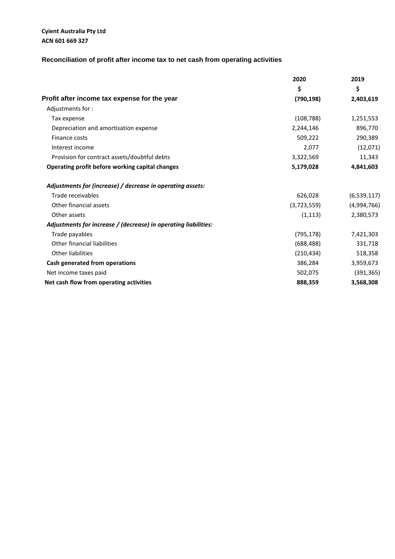## **Cyient Australia Pty Ltd ACN 601 669 327**

## **Reconciliation of profit after income tax to net cash from operating activities**

|                                                                 | 2020        | 2019        |
|-----------------------------------------------------------------|-------------|-------------|
|                                                                 | \$          | \$          |
| Profit after income tax expense for the year                    | (790, 198)  | 2,403,619   |
| Adjustments for:                                                |             |             |
| Tax expense                                                     | (108, 788)  | 1,251,553   |
| Depreciation and amortisation expense                           | 2,244,146   | 896,770     |
| Finance costs                                                   | 509,222     | 290,389     |
| Interest income                                                 | 2,077       | (12,071)    |
| Provision for contract assets/doubtful debts                    | 3,322,569   | 11,343      |
| Operating profit before working capital changes                 | 5,179,028   | 4,841,603   |
| Adjustments for (increase) / decrease in operating assets:      |             |             |
| Trade receivables                                               | 626,028     | (6,539,117) |
| Other financial assets                                          | (3,723,559) | (4,994,766) |
| Other assets                                                    | (1, 113)    | 2,380,573   |
| Adjustments for increase / (decrease) in operating liabilities: |             |             |
| Trade payables                                                  | (795, 178)  | 7,421,303   |
| Other financial liabilities                                     | (688, 488)  | 331,718     |
| <b>Other liabilities</b>                                        | (210, 434)  | 518,358     |
| Cash generated from operations                                  | 386,284     | 3,959,673   |
| Net income taxes paid                                           | 502,075     | (391, 365)  |
| Net cash flow from operating activities                         | 888,359     | 3,568,308   |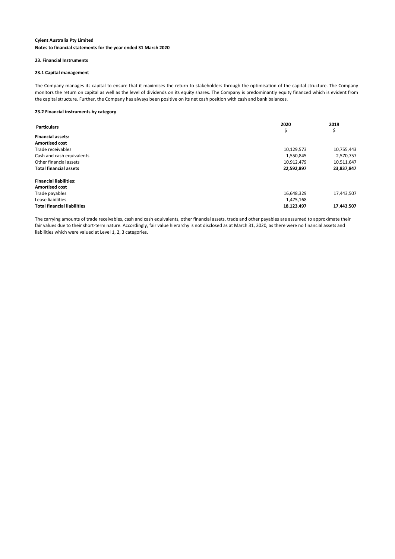#### **23. Financial Instruments**

#### **23.1 Capital management**

The Company manages its capital to ensure that it maximises the return to stakeholders through the optimisation of the capital structure. The Company monitors the return on capital as well as the level of dividends on its equity shares. The Company is predominantly equity financed which is evident from the capital structure. Further, the Company has always been positive on its net cash position with cash and bank balances.

#### **23.2 Financial instruments by category**

| <b>Particulars</b>                 | 2020<br>\$ | 2019<br>১  |
|------------------------------------|------------|------------|
| <b>Financial assets:</b>           |            |            |
| <b>Amortised cost</b>              |            |            |
| Trade receivables                  | 10,129,573 | 10,755,443 |
| Cash and cash equivalents          | 1,550,845  | 2,570,757  |
| Other financial assets             | 10,912,479 | 10,511,647 |
| <b>Total financial assets</b>      | 22,592,897 | 23,837,847 |
| <b>Financial liabilities:</b>      |            |            |
| <b>Amortised cost</b>              |            |            |
| Trade payables                     | 16,648,329 | 17,443,507 |
| Lease liabilities                  | 1,475,168  |            |
| <b>Total financial liabilities</b> | 18,123,497 | 17,443,507 |

The carrying amounts of trade receivables, cash and cash equivalents, other financial assets, trade and other payables are assumed to approximate their fair values due to their short-term nature. Accordingly, fair value hierarchy is not disclosed as at March 31, 2020, as there were no financial assets and liabilities which were valued at Level 1, 2, 3 categories.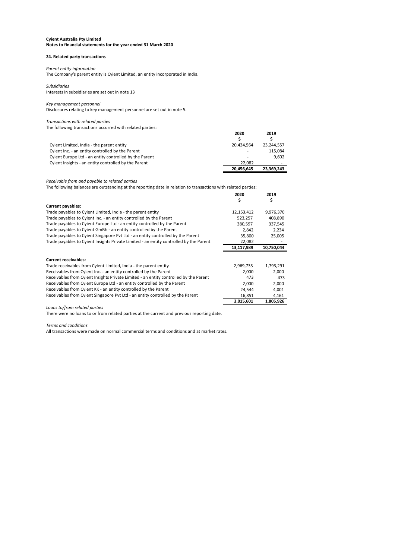#### **24. Related party transactions**

#### *Parent entity information*

The Company's parent entity is Cyient Limited, an entity incorporated in India.

## *Subsidiaries*

Interests in subsidiaries are set out in note 13

#### *Key management personnel*

Disclosures relating to key management personnel are set out in note 5.

#### *Transactions with related parties*

The following transactions occurred with related parties:

|                                                        | 2020                     | 2019       |
|--------------------------------------------------------|--------------------------|------------|
| Cyient Limited, India - the parent entity              | 20.434.564               | 23.244.557 |
| Cyient Inc. - an entity controlled by the Parent       | $\overline{\phantom{0}}$ | 115.084    |
| Cyient Europe Ltd - an entity controlled by the Parent | $\overline{\phantom{a}}$ | 9,602      |
| Cyient Insights - an entity controlled by the Parent   | 22.082                   |            |
|                                                        | 20,456,645               | 23,369,243 |

*Receivable from and payable to related parties*

|                                                                                        | 2020<br>\$ | 2019<br>\$ |
|----------------------------------------------------------------------------------------|------------|------------|
| <b>Current payables:</b>                                                               |            |            |
| Trade payables to Cyient Limited, India - the parent entity                            | 12,153,412 | 9,976,370  |
| Trade payables to Cyient Inc. - an entity controlled by the Parent                     | 523,257    | 408,890    |
| Trade payables to Cyient Europe Ltd - an entity controlled by the Parent               | 380,597    | 337,545    |
| Trade payables to Cyient GmBh - an entity controlled by the Parent                     | 2,842      | 2,234      |
| Trade payables to Cyient Singapore Pvt Ltd - an entity controlled by the Parent        | 35,800     | 25,005     |
| Trade payables to Cyient Insights Private Limited - an entity controlled by the Parent | 22,082     |            |
|                                                                                        | 13,117,989 | 10,750,044 |
|                                                                                        |            |            |
| <b>Current receivables:</b>                                                            |            |            |
| Trade receivables from Cyient Limited, India - the parent entity                       | 2,969,733  | 1,793,291  |
| Receivables from Cyient Inc. - an entity controlled by the Parent                      | 2,000      | 2,000      |
| Receivables from Cyient Insights Private Limited - an entity controlled by the Parent  | 473        | 473        |
| Receivables from Cyient Europe Ltd - an entity controlled by the Parent                | 2,000      | 2,000      |
| Receivables from Cyient KK - an entity controlled by the Parent                        | 24,544     | 4,001      |
| Receivables from Cyient Singapore Pvt Ltd - an entity controlled by the Parent         | 16,851     | 4,161      |
|                                                                                        | 3,015,601  | 1,805,926  |

*Loans to/from related parties*

There were no loans to or from related parties at the current and previous reporting date.

#### *Terms and conditions*

All transactions were made on normal commercial terms and conditions and at market rates.

The following balances are outstanding at the reporting date in relation to transactions with related parties: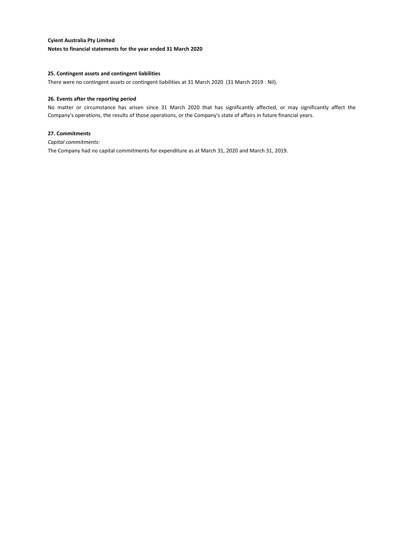#### **25. Contingent assets and contingent liabilities**

There were no contingent assets or contingent liabilities at 31 March 2020 (31 March 2019 : Nil).

#### **26. Events after the reporting period**

No matter or circumstance has arisen since 31 March 2020 that has significantly affected, or may significantly affect the Company's operations, the results of those operations, or the Company's state of affairs in future financial years.

#### **27. Commitments**

*Capital commitments:*

The Company had no capital commitments for expenditure as at March 31, 2020 and March 31, 2019.